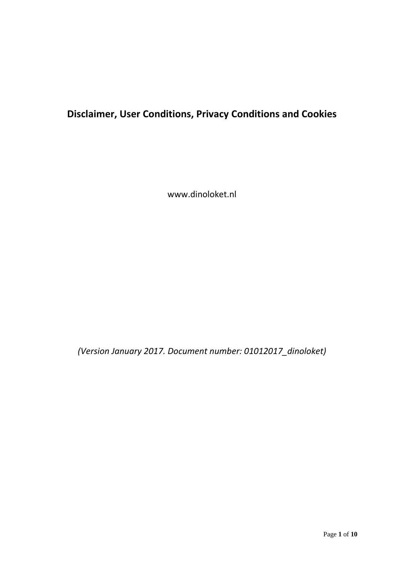# **Disclaimer, User Conditions, Privacy Conditions and Cookies**

www.dinoloket.nl

*(Version January 2017. Document number: 01012017\_dinoloket)*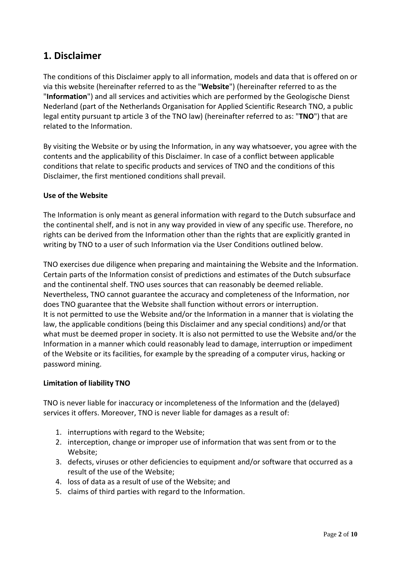## **1. Disclaimer**

The conditions of this Disclaimer apply to all information, models and data that is offered on or via this website (hereinafter referred to as the "**Website**") (hereinafter referred to as the "**Information**") and all services and activities which are performed by the Geologische Dienst Nederland (part of the Netherlands Organisation for Applied Scientific Research TNO, a public legal entity pursuant tp article 3 of the TNO law) (hereinafter referred to as: "**TNO**") that are related to the Information.

By visiting the Website or by using the Information, in any way whatsoever, you agree with the contents and the applicability of this Disclaimer. In case of a conflict between applicable conditions that relate to specific products and services of TNO and the conditions of this Disclaimer, the first mentioned conditions shall prevail.

## **Use of the Website**

The Information is only meant as general information with regard to the Dutch subsurface and the continental shelf, and is not in any way provided in view of any specific use. Therefore, no rights can be derived from the Information other than the rights that are explicitly granted in writing by TNO to a user of such Information via the User Conditions outlined below.

TNO exercises due diligence when preparing and maintaining the Website and the Information. Certain parts of the Information consist of predictions and estimates of the Dutch subsurface and the continental shelf. TNO uses sources that can reasonably be deemed reliable. Nevertheless, TNO cannot guarantee the accuracy and completeness of the Information, nor does TNO guarantee that the Website shall function without errors or interruption. It is not permitted to use the Website and/or the Information in a manner that is violating the law, the applicable conditions (being this Disclaimer and any special conditions) and/or that what must be deemed proper in society. It is also not permitted to use the Website and/or the Information in a manner which could reasonably lead to damage, interruption or impediment of the Website or its facilities, for example by the spreading of a computer virus, hacking or password mining.

#### **Limitation of liability TNO**

TNO is never liable for inaccuracy or incompleteness of the Information and the (delayed) services it offers. Moreover, TNO is never liable for damages as a result of:

- 1. interruptions with regard to the Website;
- 2. interception, change or improper use of information that was sent from or to the Website;
- 3. defects, viruses or other deficiencies to equipment and/or software that occurred as a result of the use of the Website;
- 4. loss of data as a result of use of the Website; and
- 5. claims of third parties with regard to the Information.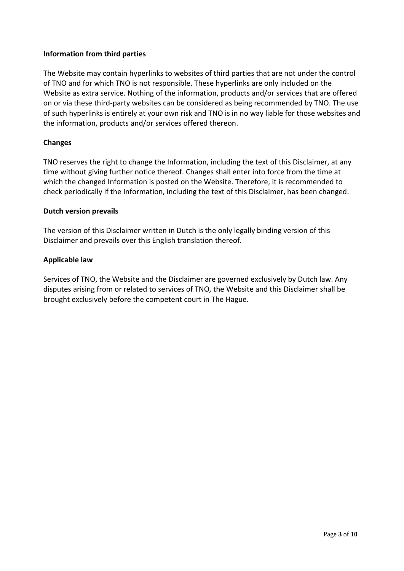## **Information from third parties**

The Website may contain hyperlinks to websites of third parties that are not under the control of TNO and for which TNO is not responsible. These hyperlinks are only included on the Website as extra service. Nothing of the information, products and/or services that are offered on or via these third-party websites can be considered as being recommended by TNO. The use of such hyperlinks is entirely at your own risk and TNO is in no way liable for those websites and the information, products and/or services offered thereon.

## **Changes**

TNO reserves the right to change the Information, including the text of this Disclaimer, at any time without giving further notice thereof. Changes shall enter into force from the time at which the changed Information is posted on the Website. Therefore, it is recommended to check periodically if the Information, including the text of this Disclaimer, has been changed.

#### **Dutch version prevails**

The version of this Disclaimer written in Dutch is the only legally binding version of this Disclaimer and prevails over this English translation thereof.

## **Applicable law**

Services of TNO, the Website and the Disclaimer are governed exclusively by Dutch law. Any disputes arising from or related to services of TNO, the Website and this Disclaimer shall be brought exclusively before the competent court in The Hague.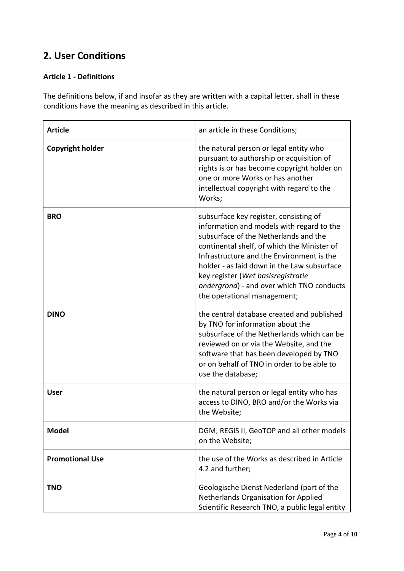## **2. User Conditions**

## **Article 1 - Definitions**

The definitions below, if and insofar as they are written with a capital letter, shall in these conditions have the meaning as described in this article.

| <b>Article</b>          | an article in these Conditions;                                                                                                                                                                                                                                                                                                                                                           |
|-------------------------|-------------------------------------------------------------------------------------------------------------------------------------------------------------------------------------------------------------------------------------------------------------------------------------------------------------------------------------------------------------------------------------------|
| <b>Copyright holder</b> | the natural person or legal entity who<br>pursuant to authorship or acquisition of<br>rights is or has become copyright holder on<br>one or more Works or has another<br>intellectual copyright with regard to the<br>Works;                                                                                                                                                              |
| <b>BRO</b>              | subsurface key register, consisting of<br>information and models with regard to the<br>subsurface of the Netherlands and the<br>continental shelf, of which the Minister of<br>Infrastructure and the Environment is the<br>holder - as laid down in the Law subsurface<br>key register (Wet basisregistratie<br>ondergrond) - and over which TNO conducts<br>the operational management; |
| <b>DINO</b>             | the central database created and published<br>by TNO for information about the<br>subsurface of the Netherlands which can be<br>reviewed on or via the Website, and the<br>software that has been developed by TNO<br>or on behalf of TNO in order to be able to<br>use the database;                                                                                                     |
| <b>User</b>             | the natural person or legal entity who has<br>access to DINO, BRO and/or the Works via<br>the Website;                                                                                                                                                                                                                                                                                    |
| <b>Model</b>            | DGM, REGIS II, GeoTOP and all other models<br>on the Website;                                                                                                                                                                                                                                                                                                                             |
| <b>Promotional Use</b>  | the use of the Works as described in Article<br>4.2 and further;                                                                                                                                                                                                                                                                                                                          |
| <b>TNO</b>              | Geologische Dienst Nederland (part of the<br>Netherlands Organisation for Applied<br>Scientific Research TNO, a public legal entity                                                                                                                                                                                                                                                       |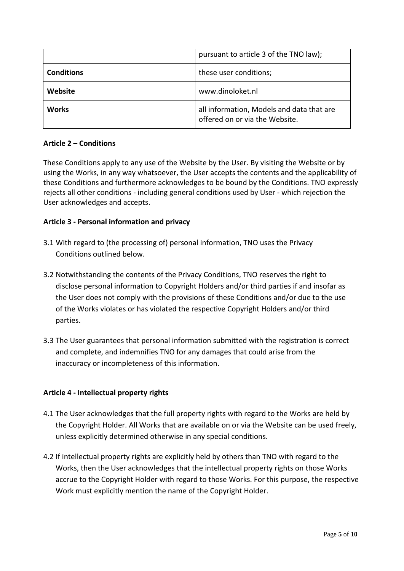|                   | pursuant to article 3 of the TNO law);                                      |
|-------------------|-----------------------------------------------------------------------------|
| <b>Conditions</b> | these user conditions;                                                      |
| Website           | www.dinoloket.nl                                                            |
| <b>Works</b>      | all information, Models and data that are<br>offered on or via the Website. |

## **Article 2 – Conditions**

These Conditions apply to any use of the Website by the User. By visiting the Website or by using the Works, in any way whatsoever, the User accepts the contents and the applicability of these Conditions and furthermore acknowledges to be bound by the Conditions. TNO expressly rejects all other conditions - including general conditions used by User - which rejection the User acknowledges and accepts.

## **Article 3 - Personal information and privacy**

- 3.1 With regard to (the processing of) personal information, TNO uses the Privacy Conditions outlined below.
- 3.2 Notwithstanding the contents of the Privacy Conditions, TNO reserves the right to disclose personal information to Copyright Holders and/or third parties if and insofar as the User does not comply with the provisions of these Conditions and/or due to the use of the Works violates or has violated the respective Copyright Holders and/or third parties.
- 3.3.3 The User guarantees that personal information submitted with the registration is correct and complete, and indemnifies TNO for any damages that could arise from the inaccuracy or incompleteness of this information.

## **Article 4 - Intellectual property rights**

- 4.1 The User acknowledges that the full property rights with regard to the Works are held by the Copyright Holder. All Works that are available on or via the Website can be used freely, unless explicitly determined otherwise in any special conditions.
- 4.2 If intellectual property rights are explicitly held by others than TNO with regard to the Works, then the User acknowledges that the intellectual property rights on those Works accrue to the Copyright Holder with regard to those Works. For this purpose, the respective Work must explicitly mention the name of the Copyright Holder.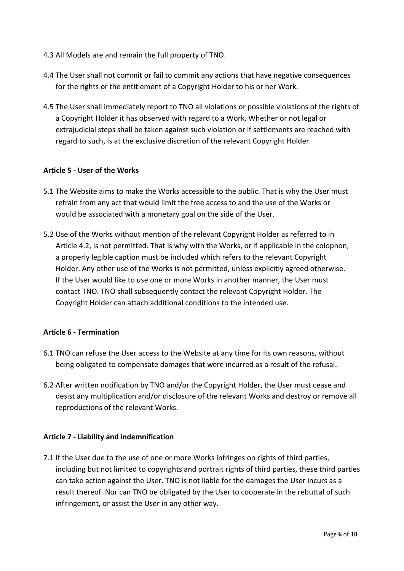- 4.3 All Models are and remain the full property of TNO.
- 4.4 The User shall not commit or fail to commit any actions that have negative consequences for the rights or the entitlement of a Copyright Holder to his or her Work.
- 4.5 The User shall immediately report to TNO all violations or possible violations of the rights of a Copyright Holder it has observed with regard to a Work. Whether or not legal or extrajudicial steps shall be taken against such violation or if settlements are reached with regard to such, is at the exclusive discretion of the relevant Copyright Holder.

#### **Article 5 - User of the Works**

- 5.1 The Website aims to make the Works accessible to the public. That is why the User must refrain from any act that would limit the free access to and the use of the Works or would be associated with a monetary goal on the side of the User.
- 5.2 Use of the Works without mention of the relevant Copyright Holder as referred to in Article 4.2, is not permitted. That is why with the Works, or if applicable in the colophon, a properly legible caption must be included which refers to the relevant Copyright Holder. Any other use of the Works is not permitted, unless explicitly agreed otherwise. If the User would like to use one or more Works in another manner, the User must contact TNO. TNO shall subsequently contact the relevant Copyright Holder. The Copyright Holder can attach additional conditions to the intended use.

#### **Article 6 - Termination**

- 6.1 TNO can refuse the User access to the Website at any time for its own reasons, without being obligated to compensate damages that were incurred as a result of the refusal.
- 6.2 After written notification by TNO and/or the Copyright Holder, the User must cease and desist any multiplication and/or disclosure of the relevant Works and destroy or remove all reproductions of the relevant Works.

#### **Article 7 - Liability and indemnification**

7.1 If the User due to the use of one or more Works infringes on rights of third parties, including but not limited to copyrights and portrait rights of third parties, these third parties can take action against the User. TNO is not liable for the damages the User incurs as a result thereof. Nor can TNO be obligated by the User to cooperate in the rebuttal of such infringement, or assist the User in any other way.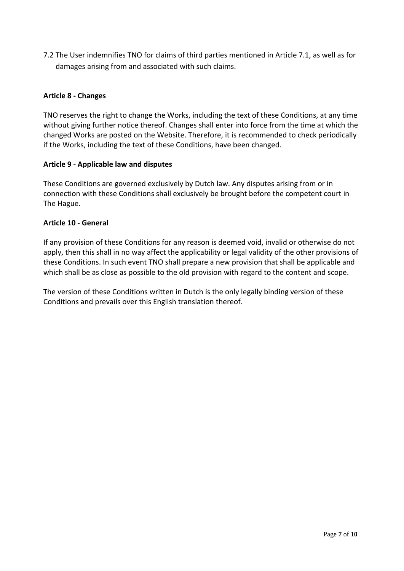7.2 The User indemnifies TNO for claims of third parties mentioned in Article 7.1, as well as for damages arising from and associated with such claims.

## **Article 8 - Changes**

TNO reserves the right to change the Works, including the text of these Conditions, at any time without giving further notice thereof. Changes shall enter into force from the time at which the changed Works are posted on the Website. Therefore, it is recommended to check periodically if the Works, including the text of these Conditions, have been changed.

#### **Article 9 - Applicable law and disputes**

These Conditions are governed exclusively by Dutch law. Any disputes arising from or in connection with these Conditions shall exclusively be brought before the competent court in The Hague.

#### **Article 10 - General**

If any provision of these Conditions for any reason is deemed void, invalid or otherwise do not apply, then this shall in no way affect the applicability or legal validity of the other provisions of these Conditions. In such event TNO shall prepare a new provision that shall be applicable and which shall be as close as possible to the old provision with regard to the content and scope.

The version of these Conditions written in Dutch is the only legally binding version of these Conditions and prevails over this English translation thereof.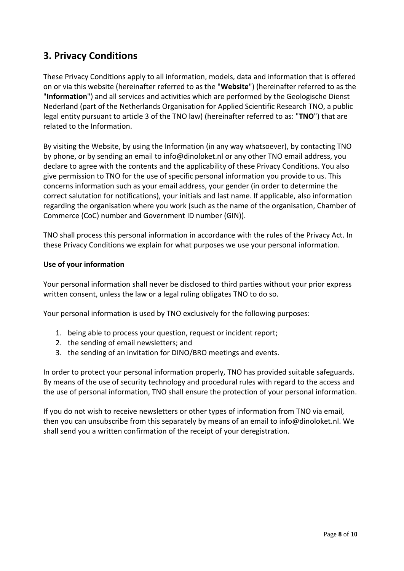## **3. Privacy Conditions**

These Privacy Conditions apply to all information, models, data and information that is offered on or via this website (hereinafter referred to as the "**Website**") (hereinafter referred to as the "**Information**") and all services and activities which are performed by the Geologische Dienst Nederland (part of the Netherlands Organisation for Applied Scientific Research TNO, a public legal entity pursuant to article 3 of the TNO law) (hereinafter referred to as: "**TNO**") that are related to the Information.

By visiting the Website, by using the Information (in any way whatsoever), by contacting TNO by phone, or by sending an email to info@dinoloket.nl or any other TNO email address, you declare to agree with the contents and the applicability of these Privacy Conditions. You also give permission to TNO for the use of specific personal information you provide to us. This concerns information such as your email address, your gender (in order to determine the correct salutation for notifications), your initials and last name. If applicable, also information regarding the organisation where you work (such as the name of the organisation, Chamber of Commerce (CoC) number and Government ID number (GIN)).

TNO shall process this personal information in accordance with the rules of the Privacy Act. In these Privacy Conditions we explain for what purposes we use your personal information.

## **Use of your information**

Your personal information shall never be disclosed to third parties without your prior express written consent, unless the law or a legal ruling obligates TNO to do so.

Your personal information is used by TNO exclusively for the following purposes:

- 1. being able to process your question, request or incident report;
- 2. the sending of email newsletters; and
- 3. the sending of an invitation for DINO/BRO meetings and events.

In order to protect your personal information properly, TNO has provided suitable safeguards. By means of the use of security technology and procedural rules with regard to the access and the use of personal information, TNO shall ensure the protection of your personal information.

If you do not wish to receive newsletters or other types of information from TNO via email, then you can unsubscribe from this separately by means of an email to info@dinoloket.nl. We shall send you a written confirmation of the receipt of your deregistration.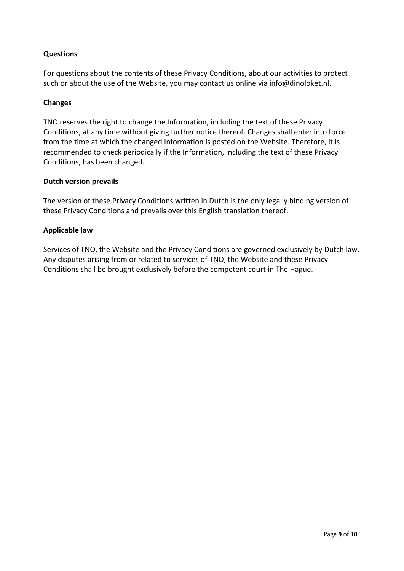## **Questions**

For questions about the contents of these Privacy Conditions, about our activities to protect such or about the use of the Website, you may contact us online via info@dinoloket.nl.

#### **Changes**

TNO reserves the right to change the Information, including the text of these Privacy Conditions, at any time without giving further notice thereof. Changes shall enter into force from the time at which the changed Information is posted on the Website. Therefore, it is recommended to check periodically if the Information, including the text of these Privacy Conditions, has been changed.

#### **Dutch version prevails**

The version of these Privacy Conditions written in Dutch is the only legally binding version of these Privacy Conditions and prevails over this English translation thereof.

#### **Applicable law**

Services of TNO, the Website and the Privacy Conditions are governed exclusively by Dutch law. Any disputes arising from or related to services of TNO, the Website and these Privacy Conditions shall be brought exclusively before the competent court in The Hague.